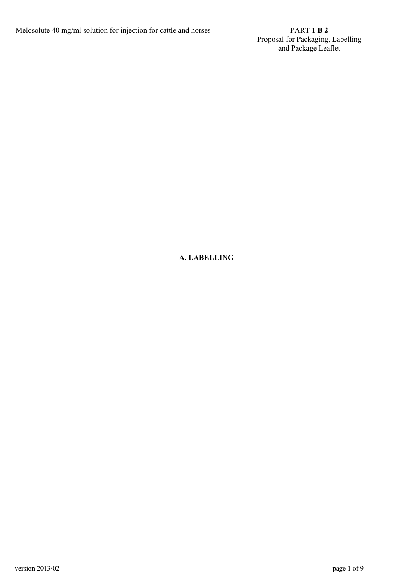Proposal for Packaging, Labelling and Package Leaflet

# **A. LABELLING**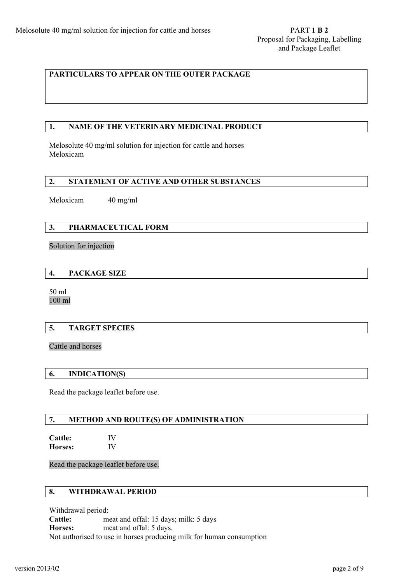# **PARTICULARS TO APPEAR ON THE OUTER PACKAGE**

## **1. NAME OF THE VETERINARY MEDICINAL PRODUCT**

Melosolute 40 mg/ml solution for injection for cattle and horses Meloxicam

### **2. STATEMENT OF ACTIVE AND OTHER SUBSTANCES**

Meloxicam 40 mg/ml

## **3. PHARMACEUTICAL FORM**

#### Solution for injection

### **4. PACKAGE SIZE**

50 ml 100 ml

### **5. TARGET SPECIES**

Cattle and horses

### **6. INDICATION(S)**

Read the package leaflet before use.

### **7. METHOD AND ROUTE(S) OF ADMINISTRATION**

**Cattle:** IV **Horses:** IV

Read the package leaflet before use.

### **8. WITHDRAWAL PERIOD**

Withdrawal period: **Cattle:** meat and offal: 15 days; milk: 5 days **Horses:** meat and offal: 5 days. Not authorised to use in horses producing milk for human consumption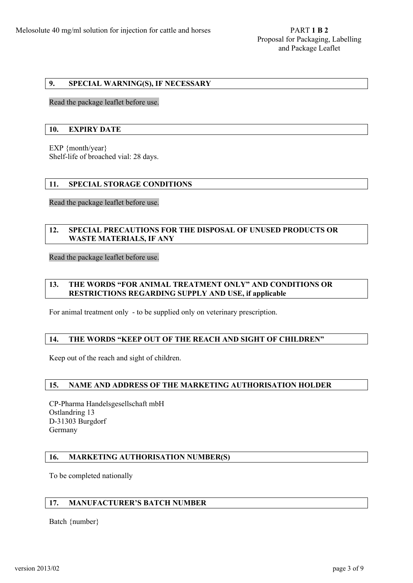# **9. SPECIAL WARNING(S), IF NECESSARY**

Read the package leaflet before use.

#### **10. EXPIRY DATE**

EXP {month/year} Shelf-life of broached vial: 28 days.

#### **11. SPECIAL STORAGE CONDITIONS**

Read the package leaflet before use.

# **12. SPECIAL PRECAUTIONS FOR THE DISPOSAL OF UNUSED PRODUCTS OR WASTE MATERIALS, IF ANY**

Read the package leaflet before use.

# **13. THE WORDS "FOR ANIMAL TREATMENT ONLY" AND CONDITIONS OR RESTRICTIONS REGARDING SUPPLY AND USE, if applicable**

For animal treatment only - to be supplied only on veterinary prescription.

## **14. THE WORDS "KEEP OUT OF THE REACH AND SIGHT OF CHILDREN"**

Keep out of the reach and sight of children.

#### **15. NAME AND ADDRESS OF THE MARKETING AUTHORISATION HOLDER**

CP-Pharma Handelsgesellschaft mbH Ostlandring 13 D-31303 Burgdorf Germany

#### **16. MARKETING AUTHORISATION NUMBER(S)**

To be completed nationally

## **17. MANUFACTURER'S BATCH NUMBER**

Batch {number}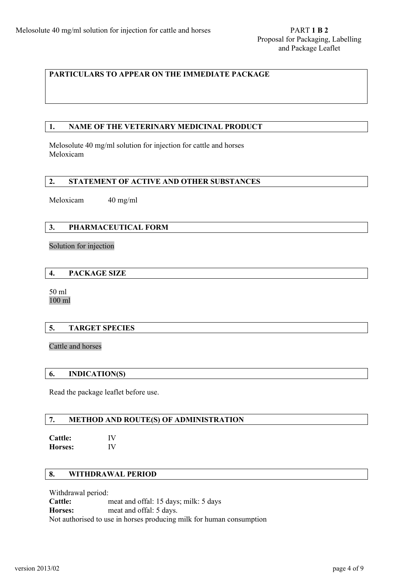# **PARTICULARS TO APPEAR ON THE IMMEDIATE PACKAGE**

## **1. NAME OF THE VETERINARY MEDICINAL PRODUCT**

Melosolute 40 mg/ml solution for injection for cattle and horses Meloxicam

## **2. STATEMENT OF ACTIVE AND OTHER SUBSTANCES**

Meloxicam 40 mg/ml

## **3. PHARMACEUTICAL FORM**

#### Solution for injection

### **4. PACKAGE SIZE**

50 ml 100 ml

### **5. TARGET SPECIES**

Cattle and horses

#### **6. INDICATION(S)**

Read the package leaflet before use.

# **7. METHOD AND ROUTE(S) OF ADMINISTRATION**

**Cattle:** IV **Horses:** IV

# **8. WITHDRAWAL PERIOD**

Withdrawal period: **Cattle:** meat and offal: 15 days; milk: 5 days **Horses:** meat and offal: 5 days. Not authorised to use in horses producing milk for human consumption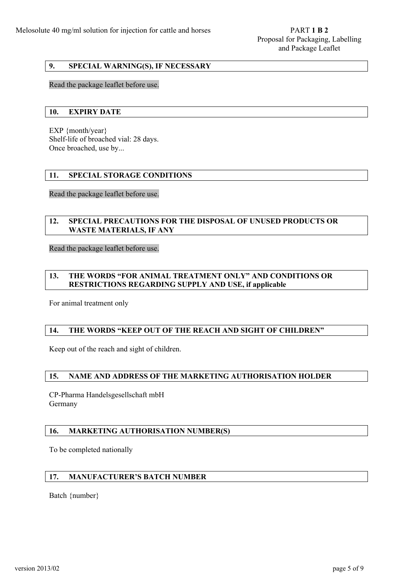# **9. SPECIAL WARNING(S), IF NECESSARY**

#### Read the package leaflet before use.

#### **10. EXPIRY DATE**

EXP {month/year} Shelf-life of broached vial: 28 days. Once broached, use by...

### **11. SPECIAL STORAGE CONDITIONS**

Read the package leaflet before use.

## **12. SPECIAL PRECAUTIONS FOR THE DISPOSAL OF UNUSED PRODUCTS OR WASTE MATERIALS, IF ANY**

Read the package leaflet before use.

## **13. THE WORDS "FOR ANIMAL TREATMENT ONLY" AND CONDITIONS OR RESTRICTIONS REGARDING SUPPLY AND USE, if applicable**

For animal treatment only

## **14. THE WORDS "KEEP OUT OF THE REACH AND SIGHT OF CHILDREN"**

Keep out of the reach and sight of children.

### **15. NAME AND ADDRESS OF THE MARKETING AUTHORISATION HOLDER**

CP-Pharma Handelsgesellschaft mbH Germany

### **16. MARKETING AUTHORISATION NUMBER(S)**

To be completed nationally

# **17. MANUFACTURER'S BATCH NUMBER**

Batch {number}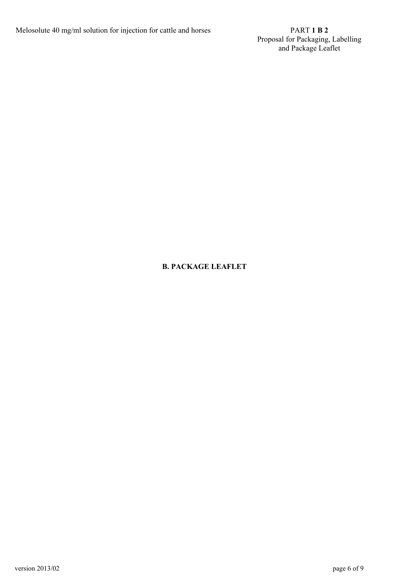Proposal for Packaging, Labelling and Package Leaflet

# **B. PACKAGE LEAFLET**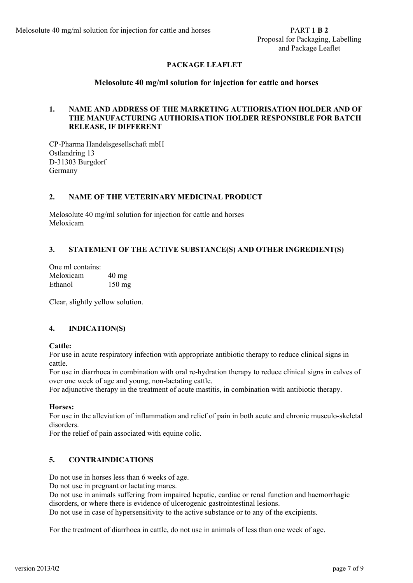# **PACKAGE LEAFLET**

# **Melosolute 40 mg/ml solution for injection for cattle and horses**

# **1. NAME AND ADDRESS OF THE MARKETING AUTHORISATION HOLDER AND OF THE MANUFACTURING AUTHORISATION HOLDER RESPONSIBLE FOR BATCH RELEASE, IF DIFFERENT**

CP-Pharma Handelsgesellschaft mbH Ostlandring 13 D-31303 Burgdorf Germany

### **2. NAME OF THE VETERINARY MEDICINAL PRODUCT**

Melosolute 40 mg/ml solution for injection for cattle and horses Meloxicam

## **3. STATEMENT OF THE ACTIVE SUBSTANCE(S) AND OTHER INGREDIENT(S)**

| One ml contains: |                  |
|------------------|------------------|
| Meloxicam        | $40 \text{ mg}$  |
| Ethanol          | $150 \text{ mg}$ |

Clear, slightly yellow solution.

# **4. INDICATION(S)**

### **Cattle:**

For use in acute respiratory infection with appropriate antibiotic therapy to reduce clinical signs in cattle.

For use in diarrhoea in combination with oral re-hydration therapy to reduce clinical signs in calves of over one week of age and young, non-lactating cattle.

For adjunctive therapy in the treatment of acute mastitis, in combination with antibiotic therapy.

### **Horses:**

For use in the alleviation of inflammation and relief of pain in both acute and chronic musculo-skeletal disorders.

For the relief of pain associated with equine colic.

# **5. CONTRAINDICATIONS**

Do not use in horses less than 6 weeks of age.

Do not use in pregnant or lactating mares.

Do not use in animals suffering from impaired hepatic, cardiac or renal function and haemorrhagic disorders, or where there is evidence of ulcerogenic gastrointestinal lesions.

Do not use in case of hypersensitivity to the active substance or to any of the excipients.

For the treatment of diarrhoea in cattle, do not use in animals of less than one week of age.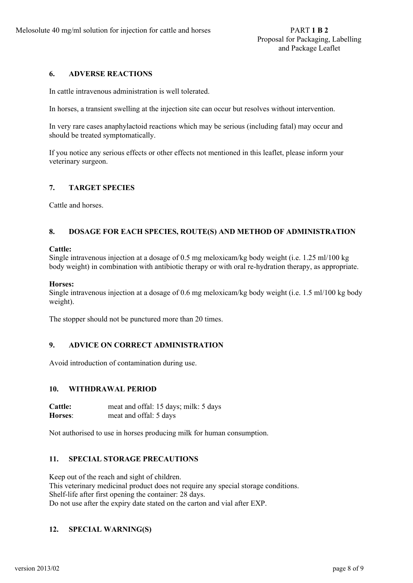## **6. ADVERSE REACTIONS**

In cattle intravenous administration is well tolerated.

In horses, a transient swelling at the injection site can occur but resolves without intervention.

In very rare cases anaphylactoid reactions which may be serious (including fatal) may occur and should be treated symptomatically.

If you notice any serious effects or other effects not mentioned in this leaflet, please inform your veterinary surgeon.

## **7. TARGET SPECIES**

Cattle and horses.

# **8. DOSAGE FOR EACH SPECIES, ROUTE(S) AND METHOD OF ADMINISTRATION**

#### **Cattle:**

Single intravenous injection at a dosage of 0.5 mg meloxicam/kg body weight (i.e. 1.25 ml/100 kg body weight) in combination with antibiotic therapy or with oral re-hydration therapy, as appropriate.

#### **Horses:**

Single intravenous injection at a dosage of 0.6 mg meloxicam/kg body weight (i.e. 1.5 ml/100 kg body weight).

The stopper should not be punctured more than 20 times.

# **9. ADVICE ON CORRECT ADMINISTRATION**

Avoid introduction of contamination during use.

### **10. WITHDRAWAL PERIOD**

**Cattle:** meat and offal: 15 days; milk: 5 days **Horses**: meat and offal: 5 days

Not authorised to use in horses producing milk for human consumption.

### **11. SPECIAL STORAGE PRECAUTIONS**

Keep out of the reach and sight of children. This veterinary medicinal product does not require any special storage conditions. Shelf-life after first opening the container: 28 days. Do not use after the expiry date stated on the carton and vial after EXP.

### **12. SPECIAL WARNING(S)**